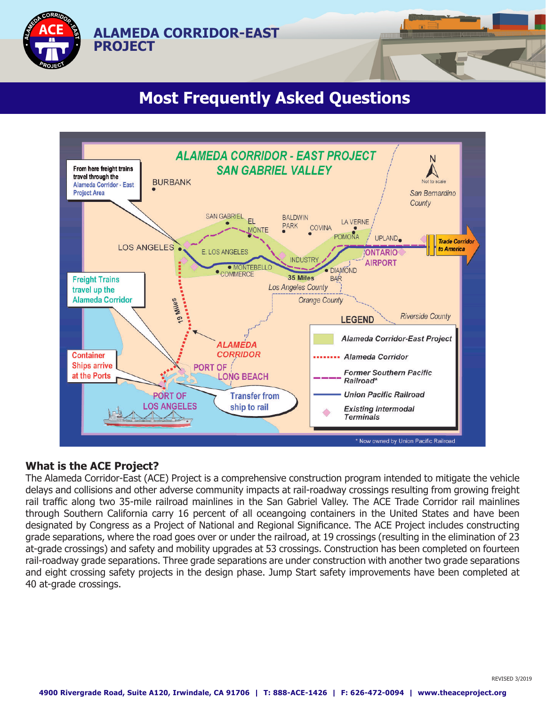

# **Most Frequently Asked Questions**



# **What is the ACE Project?**

The Alameda Corridor-East (ACE) Project is a comprehensive construction program intended to mitigate the vehicle delays and collisions and other adverse community impacts at rail-roadway crossings resulting from growing freight rail traffic along two 35-mile railroad mainlines in the San Gabriel Valley. The ACE Trade Corridor rail mainlines through Southern California carry 16 percent of all oceangoing containers in the United States and have been designated by Congress as a Project of National and Regional Significance. The ACE Project includes constructing grade separations, where the road goes over or under the railroad, at 19 crossings (resulting in the elimination of 23 at-grade crossings) and safety and mobility upgrades at 53 crossings. Construction has been completed on fourteen rail-roadway grade separations. Three grade separations are under construction with another two grade separations and eight crossing safety projects in the design phase. Jump Start safety improvements have been completed at 40 at-grade crossings.